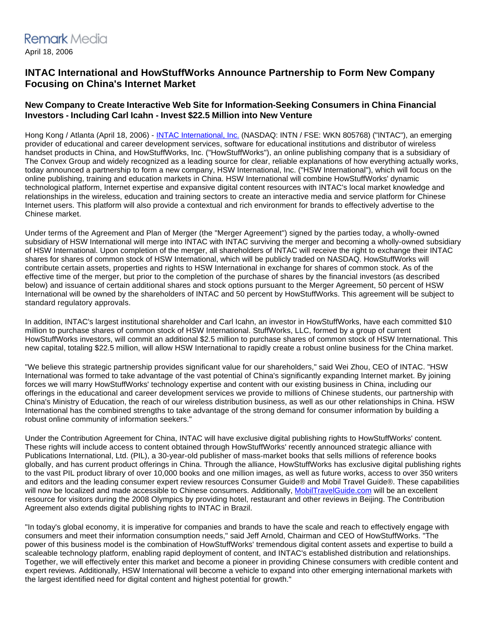## **INTAC International and HowStuffWorks Announce Partnership to Form New Company Focusing on China's Internet Market**

## **New Company to Create Interactive Web Site for Information-Seeking Consumers in China Financial Investors - Including Carl Icahn - Invest \$22.5 Million into New Venture**

Hong Kong / Atlanta (April 18, 2006) - [INTAC International, Inc.](http://www.howstuffworks.com/framed.htm?parent=hsw-international-pr.htm&url=http://www.intac-international.com/) (NASDAQ: INTN / FSE: WKN 805768) ("INTAC"), an emerging provider of educational and career development services, software for educational institutions and distributor of wireless handset products in China, and HowStuffWorks, Inc. ("HowStuffWorks"), an online publishing company that is a subsidiary of The Convex Group and widely recognized as a leading source for clear, reliable explanations of how everything actually works, today announced a partnership to form a new company, HSW International, Inc. ("HSW International"), which will focus on the online publishing, training and education markets in China. HSW International will combine HowStuffWorks' dynamic technological platform, Internet expertise and expansive digital content resources with INTAC's local market knowledge and relationships in the wireless, education and training sectors to create an interactive media and service platform for Chinese Internet users. This platform will also provide a contextual and rich environment for brands to effectively advertise to the Chinese market.

Under terms of the Agreement and Plan of Merger (the "Merger Agreement") signed by the parties today, a wholly-owned subsidiary of HSW International will merge into INTAC with INTAC surviving the merger and becoming a wholly-owned subsidiary of HSW International. Upon completion of the merger, all shareholders of INTAC will receive the right to exchange their INTAC shares for shares of common stock of HSW International, which will be publicly traded on NASDAQ. HowStuffWorks will contribute certain assets, properties and rights to HSW International in exchange for shares of common stock. As of the effective time of the merger, but prior to the completion of the purchase of shares by the financial investors (as described below) and issuance of certain additional shares and stock options pursuant to the Merger Agreement, 50 percent of HSW International will be owned by the shareholders of INTAC and 50 percent by HowStuffWorks. This agreement will be subject to standard regulatory approvals.

In addition, INTAC's largest institutional shareholder and Carl Icahn, an investor in HowStuffWorks, have each committed \$10 million to purchase shares of common stock of HSW International. StuffWorks, LLC, formed by a group of current HowStuffWorks investors, will commit an additional \$2.5 million to purchase shares of common stock of HSW International. This new capital, totaling \$22.5 million, will allow HSW International to rapidly create a robust online business for the China market.

"We believe this strategic partnership provides significant value for our shareholders," said Wei Zhou, CEO of INTAC. "HSW International was formed to take advantage of the vast potential of China's significantly expanding Internet market. By joining forces we will marry HowStuffWorks' technology expertise and content with our existing business in China, including our offerings in the educational and career development services we provide to millions of Chinese students, our partnership with China's Ministry of Education, the reach of our wireless distribution business, as well as our other relationships in China. HSW International has the combined strengths to take advantage of the strong demand for consumer information by building a robust online community of information seekers."

Under the Contribution Agreement for China, INTAC will have exclusive digital publishing rights to HowStuffWorks' content. These rights will include access to content obtained through HowStuffWorks' recently announced strategic alliance with Publications International, Ltd. (PIL), a 30-year-old publisher of mass-market books that sells millions of reference books globally, and has current product offerings in China. Through the alliance, HowStuffWorks has exclusive digital publishing rights to the vast PIL product library of over 10,000 books and one million images, as well as future works, access to over 350 writers and editors and the leading consumer expert review resources Consumer Guide® and Mobil Travel Guide®. These capabilities will now be localized and made accessible to Chinese consumers. Additionally, [MobilTravelGuide.com](http://www.howstuffworks.com/framed.htm?parent=hsw-international-pr.htm&url=http://www.mobiltravelguide.com) will be an excellent resource for visitors during the 2008 Olympics by providing hotel, restaurant and other reviews in Beijing. The Contribution Agreement also extends digital publishing rights to INTAC in Brazil.

"In today's global economy, it is imperative for companies and brands to have the scale and reach to effectively engage with consumers and meet their information consumption needs," said Jeff Arnold, Chairman and CEO of HowStuffWorks. "The power of this business model is the combination of HowStuffWorks' tremendous digital content assets and expertise to build a scaleable technology platform, enabling rapid deployment of content, and INTAC's established distribution and relationships. Together, we will effectively enter this market and become a pioneer in providing Chinese consumers with credible content and expert reviews. Additionally, HSW International will become a vehicle to expand into other emerging international markets with the largest identified need for digital content and highest potential for growth."